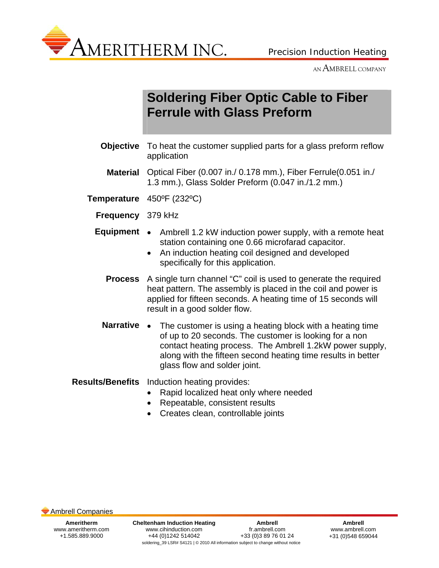

AN AMBRELL COMPANY

## **Soldering Fiber Optic Cable to Fiber Ferrule with Glass Preform**

- **Objective** To heat the customer supplied parts for a glass preform reflow application
- **Material** Optical Fiber (0.007 in./ 0.178 mm.), Fiber Ferrule(0.051 in./ 1.3 mm.), Glass Solder Preform (0.047 in./1.2 mm.)
- **Temperature** 450ºF (232ºC)
	- **Frequency** 379 kHz
	- **Equipment** Ambrell 1.2 kW induction power supply, with a remote heat station containing one 0.66 microfarad capacitor.
		- An induction heating coil designed and developed specifically for this application.
		- **Process** A single turn channel "C" coil is used to generate the required heat pattern. The assembly is placed in the coil and power is applied for fifteen seconds. A heating time of 15 seconds will result in a good solder flow.
		- **Narrative** The customer is using a heating block with a heating time of up to 20 seconds. The customer is looking for a non contact heating process. The Ambrell 1.2kW power supply, along with the fifteen second heating time results in better glass flow and solder joint.

## **Results/Benefits** Induction heating provides:

- Rapid localized heat only where needed
- Repeatable, consistent results
- Creates clean, controllable joints

Ambrell Companies

**Ameritherm**  www.ameritherm.com +1.585.889.9000